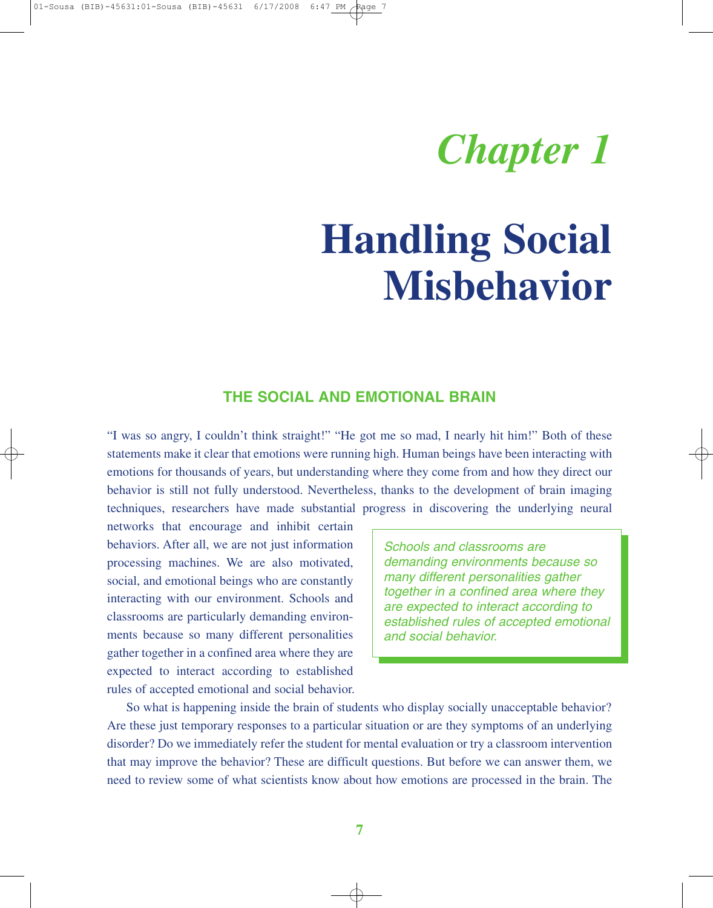# *Chapter 1*

# **Handling Social Misbehavior**

# **THE SOCIAL AND EMOTIONAL BRAIN**

"I was so angry, I couldn't think straight!" "He got me so mad, I nearly hit him!" Both of these statements make it clear that emotions were running high. Human beings have been interacting with emotions for thousands of years, but understanding where they come from and how they direct our behavior is still not fully understood. Nevertheless, thanks to the development of brain imaging techniques, researchers have made substantial progress in discovering the underlying neural

networks that encourage and inhibit certain behaviors. After all, we are not just information processing machines. We are also motivated, social, and emotional beings who are constantly interacting with our environment. Schools and classrooms are particularly demanding environments because so many different personalities gather together in a confined area where they are expected to interact according to established rules of accepted emotional and social behavior.

Schools and classrooms are demanding environments because so many different personalities gather together in a confined area where they are expected to interact according to established rules of accepted emotional and social behavior.

So what is happening inside the brain of students who display socially unacceptable behavior? Are these just temporary responses to a particular situation or are they symptoms of an underlying disorder? Do we immediately refer the student for mental evaluation or try a classroom intervention that may improve the behavior? These are difficult questions. But before we can answer them, we need to review some of what scientists know about how emotions are processed in the brain. The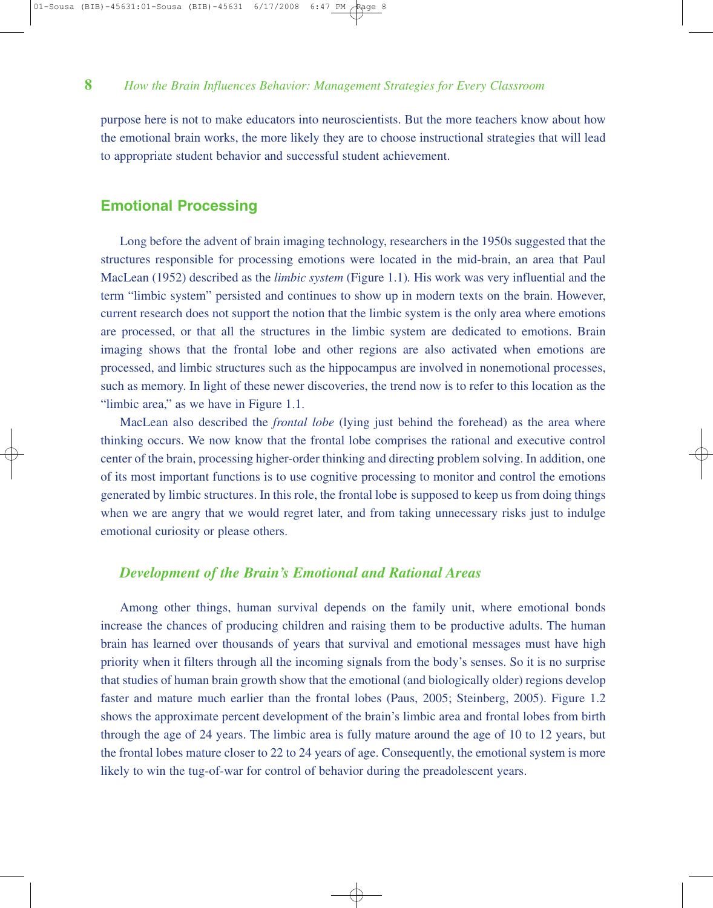purpose here is not to make educators into neuroscientists. But the more teachers know about how the emotional brain works, the more likely they are to choose instructional strategies that will lead to appropriate student behavior and successful student achievement.

# **Emotional Processing**

Long before the advent of brain imaging technology, researchers in the 1950s suggested that the structures responsible for processing emotions were located in the mid-brain, an area that Paul MacLean (1952) described as the *limbic system* (Figure 1.1)*.* His work was very influential and the term "limbic system" persisted and continues to show up in modern texts on the brain. However, current research does not support the notion that the limbic system is the only area where emotions are processed, or that all the structures in the limbic system are dedicated to emotions. Brain imaging shows that the frontal lobe and other regions are also activated when emotions are processed, and limbic structures such as the hippocampus are involved in nonemotional processes, such as memory. In light of these newer discoveries, the trend now is to refer to this location as the "limbic area," as we have in Figure 1.1.

MacLean also described the *frontal lobe* (lying just behind the forehead) as the area where thinking occurs. We now know that the frontal lobe comprises the rational and executive control center of the brain, processing higher-order thinking and directing problem solving. In addition, one of its most important functions is to use cognitive processing to monitor and control the emotions generated by limbic structures. In this role, the frontal lobe is supposed to keep us from doing things when we are angry that we would regret later, and from taking unnecessary risks just to indulge emotional curiosity or please others.

#### *Development of the Brain's Emotional and Rational Areas*

Among other things, human survival depends on the family unit, where emotional bonds increase the chances of producing children and raising them to be productive adults. The human brain has learned over thousands of years that survival and emotional messages must have high priority when it filters through all the incoming signals from the body's senses. So it is no surprise that studies of human brain growth show that the emotional (and biologically older) regions develop faster and mature much earlier than the frontal lobes (Paus, 2005; Steinberg, 2005). Figure 1.2 shows the approximate percent development of the brain's limbic area and frontal lobes from birth through the age of 24 years. The limbic area is fully mature around the age of 10 to 12 years, but the frontal lobes mature closer to 22 to 24 years of age. Consequently, the emotional system is more likely to win the tug-of-war for control of behavior during the preadolescent years.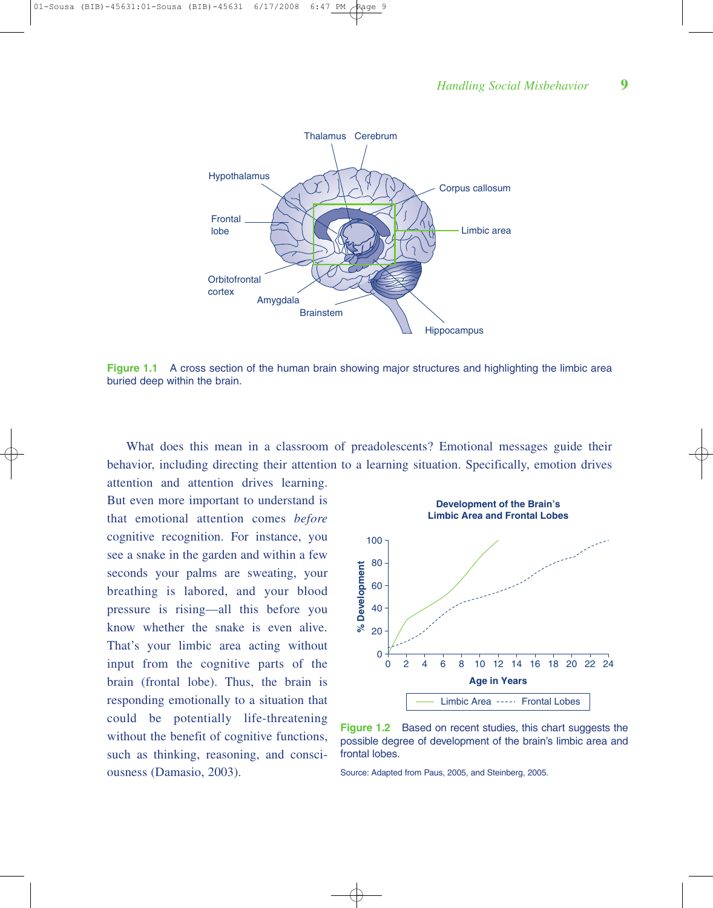

 $6:47$ 

**Figure 1.1** A cross section of the human brain showing major structures and highlighting the limbic area buried deep within the brain.

What does this mean in a classroom of preadolescents? Emotional messages guide their behavior, including directing their attention to a learning situation. Specifically, emotion drives

attention and attention drives learning. But even more important to understand is that emotional attention comes *before* cognitive recognition. For instance, you see a snake in the garden and within a few seconds your palms are sweating, your breathing is labored, and your blood pressure is rising—all this before you know whether the snake is even alive. That's your limbic area acting without input from the cognitive parts of the brain (frontal lobe). Thus, the brain is responding emotionally to a situation that could be potentially life-threatening without the benefit of cognitive functions, such as thinking, reasoning, and consciousness (Damasio, 2003).

01-Sousa (BIB)-45631:01-Sousa (BIB)-45631 6/17/2008



**Figure 1.2** Based on recent studies, this chart suggests the possible degree of development of the brain's limbic area and frontal lobes.

Source: Adapted from Paus, 2005, and Steinberg, 2005.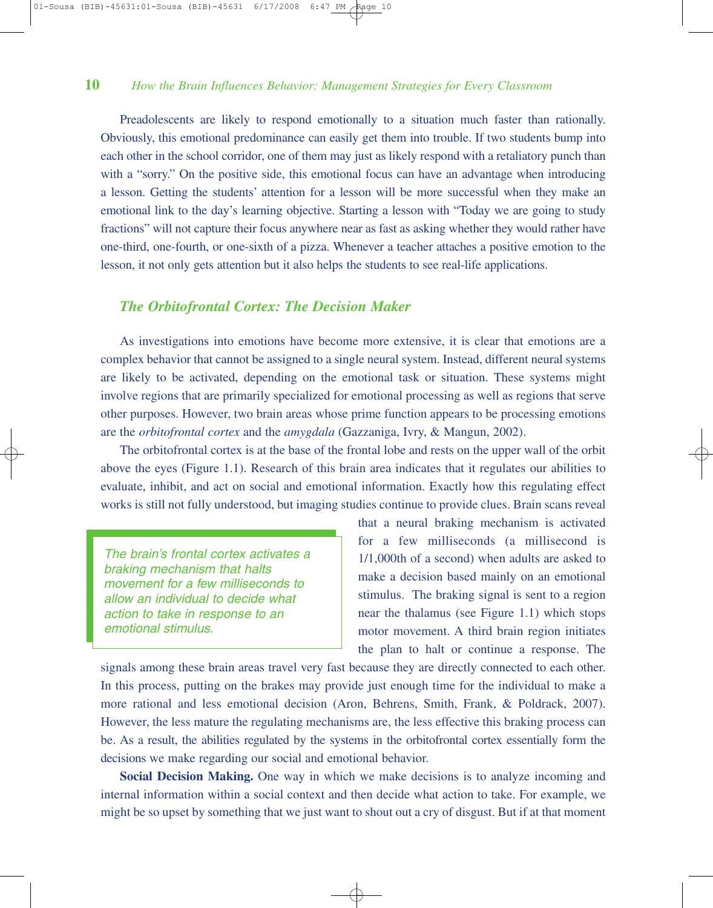Preadolescents are likely to respond emotionally to a situation much faster than rationally. Obviously, this emotional predominance can easily get them into trouble. If two students bump into each other in the school corridor, one of them may just as likely respond with a retaliatory punch than with a "sorry." On the positive side, this emotional focus can have an advantage when introducing a lesson. Getting the students' attention for a lesson will be more successful when they make an emotional link to the day's learning objective. Starting a lesson with "Today we are going to study fractions" will not capture their focus anywhere near as fast as asking whether they would rather have one-third, one-fourth, or one-sixth of a pizza. Whenever a teacher attaches a positive emotion to the lesson, it not only gets attention but it also helps the students to see real-life applications.

#### *The Orbitofrontal Cortex: The Decision Maker*

As investigations into emotions have become more extensive, it is clear that emotions are a complex behavior that cannot be assigned to a single neural system. Instead, different neural systems are likely to be activated, depending on the emotional task or situation. These systems might involve regions that are primarily specialized for emotional processing as well as regions that serve other purposes. However, two brain areas whose prime function appears to be processing emotions are the *orbitofrontal cortex* and the *amygdala* (Gazzaniga, Ivry, & Mangun, 2002).

The orbitofrontal cortex is at the base of the frontal lobe and rests on the upper wall of the orbit above the eyes (Figure 1.1). Research of this brain area indicates that it regulates our abilities to evaluate, inhibit, and act on social and emotional information. Exactly how this regulating effect works is still not fully understood, but imaging studies continue to provide clues. Brain scans reveal

The brain's frontal cortex activates a braking mechanism that halts movement for a few milliseconds to allow an individual to decide what action to take in response to an emotional stimulus.

that a neural braking mechanism is activated for a few milliseconds (a millisecond is 1/1,000th of a second) when adults are asked to make a decision based mainly on an emotional stimulus. The braking signal is sent to a region near the thalamus (see Figure 1.1) which stops motor movement. A third brain region initiates the plan to halt or continue a response. The

signals among these brain areas travel very fast because they are directly connected to each other. In this process, putting on the brakes may provide just enough time for the individual to make a more rational and less emotional decision (Aron, Behrens, Smith, Frank, & Poldrack, 2007). However, the less mature the regulating mechanisms are, the less effective this braking process can be. As a result, the abilities regulated by the systems in the orbitofrontal cortex essentially form the decisions we make regarding our social and emotional behavior.

**Social Decision Making.** One way in which we make decisions is to analyze incoming and internal information within a social context and then decide what action to take. For example, we might be so upset by something that we just want to shout out a cry of disgust. But if at that moment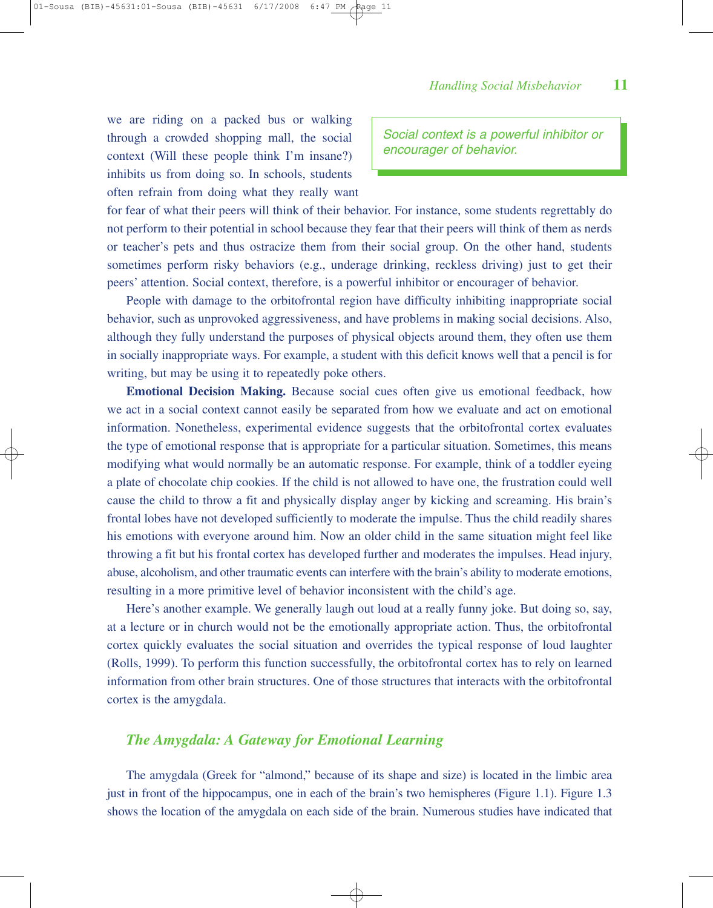we are riding on a packed bus or walking through a crowded shopping mall, the social context (Will these people think I'm insane?) inhibits us from doing so. In schools, students often refrain from doing what they really want

01-Sousa (BIB)-45631:01-Sousa (BIB)-45631:01-Sousa (BIB)-45631  $-4$ 

Social context is a powerful inhibitor or encourager of behavior.

for fear of what their peers will think of their behavior. For instance, some students regrettably do not perform to their potential in school because they fear that their peers will think of them as nerds or teacher's pets and thus ostracize them from their social group. On the other hand, students sometimes perform risky behaviors (e.g., underage drinking, reckless driving) just to get their peers' attention. Social context, therefore, is a powerful inhibitor or encourager of behavior.

People with damage to the orbitofrontal region have difficulty inhibiting inappropriate social behavior, such as unprovoked aggressiveness, and have problems in making social decisions. Also, although they fully understand the purposes of physical objects around them, they often use them in socially inappropriate ways. For example, a student with this deficit knows well that a pencil is for writing, but may be using it to repeatedly poke others.

**Emotional Decision Making.** Because social cues often give us emotional feedback, how we act in a social context cannot easily be separated from how we evaluate and act on emotional information. Nonetheless, experimental evidence suggests that the orbitofrontal cortex evaluates the type of emotional response that is appropriate for a particular situation. Sometimes, this means modifying what would normally be an automatic response. For example, think of a toddler eyeing a plate of chocolate chip cookies. If the child is not allowed to have one, the frustration could well cause the child to throw a fit and physically display anger by kicking and screaming. His brain's frontal lobes have not developed sufficiently to moderate the impulse. Thus the child readily shares his emotions with everyone around him. Now an older child in the same situation might feel like throwing a fit but his frontal cortex has developed further and moderates the impulses. Head injury, abuse, alcoholism, and other traumatic events can interfere with the brain's ability to moderate emotions, resulting in a more primitive level of behavior inconsistent with the child's age.

Here's another example. We generally laugh out loud at a really funny joke. But doing so, say, at a lecture or in church would not be the emotionally appropriate action. Thus, the orbitofrontal cortex quickly evaluates the social situation and overrides the typical response of loud laughter (Rolls, 1999). To perform this function successfully, the orbitofrontal cortex has to rely on learned information from other brain structures. One of those structures that interacts with the orbitofrontal cortex is the amygdala.

# *The Amygdala: A Gateway for Emotional Learning*

The amygdala (Greek for "almond," because of its shape and size) is located in the limbic area just in front of the hippocampus, one in each of the brain's two hemispheres (Figure 1.1). Figure 1.3 shows the location of the amygdala on each side of the brain. Numerous studies have indicated that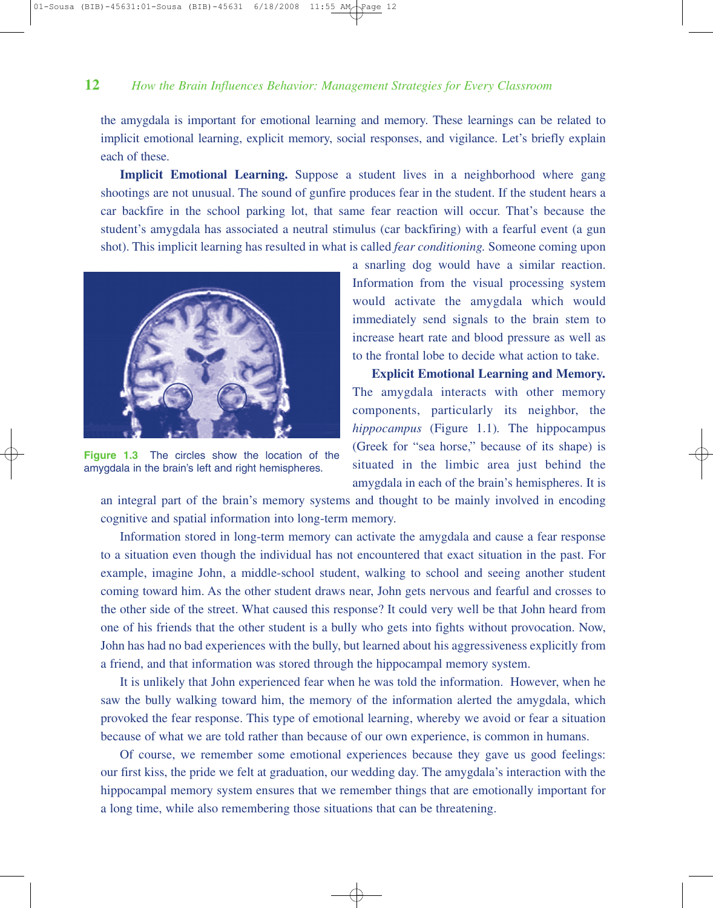the amygdala is important for emotional learning and memory. These learnings can be related to implicit emotional learning, explicit memory, social responses, and vigilance. Let's briefly explain each of these.

**Implicit Emotional Learning.** Suppose a student lives in a neighborhood where gang shootings are not unusual. The sound of gunfire produces fear in the student. If the student hears a car backfire in the school parking lot, that same fear reaction will occur. That's because the student's amygdala has associated a neutral stimulus (car backfiring) with a fearful event (a gun shot). This implicit learning has resulted in what is called *fear conditioning.* Someone coming upon



**Figure 1.3** The circles show the location of the amygdala in the brain's left and right hemispheres.

a snarling dog would have a similar reaction. Information from the visual processing system would activate the amygdala which would immediately send signals to the brain stem to increase heart rate and blood pressure as well as to the frontal lobe to decide what action to take.

**Explicit Emotional Learning and Memory.** The amygdala interacts with other memory components, particularly its neighbor, the *hippocampus* (Figure 1.1)*.* The hippocampus (Greek for "sea horse," because of its shape) is situated in the limbic area just behind the amygdala in each of the brain's hemispheres. It is

an integral part of the brain's memory systems and thought to be mainly involved in encoding cognitive and spatial information into long-term memory.

Information stored in long-term memory can activate the amygdala and cause a fear response to a situation even though the individual has not encountered that exact situation in the past. For example, imagine John, a middle-school student, walking to school and seeing another student coming toward him. As the other student draws near, John gets nervous and fearful and crosses to the other side of the street. What caused this response? It could very well be that John heard from one of his friends that the other student is a bully who gets into fights without provocation. Now, John has had no bad experiences with the bully, but learned about his aggressiveness explicitly from a friend, and that information was stored through the hippocampal memory system.

It is unlikely that John experienced fear when he was told the information. However, when he saw the bully walking toward him, the memory of the information alerted the amygdala, which provoked the fear response. This type of emotional learning, whereby we avoid or fear a situation because of what we are told rather than because of our own experience, is common in humans.

Of course, we remember some emotional experiences because they gave us good feelings: our first kiss, the pride we felt at graduation, our wedding day. The amygdala's interaction with the hippocampal memory system ensures that we remember things that are emotionally important for a long time, while also remembering those situations that can be threatening.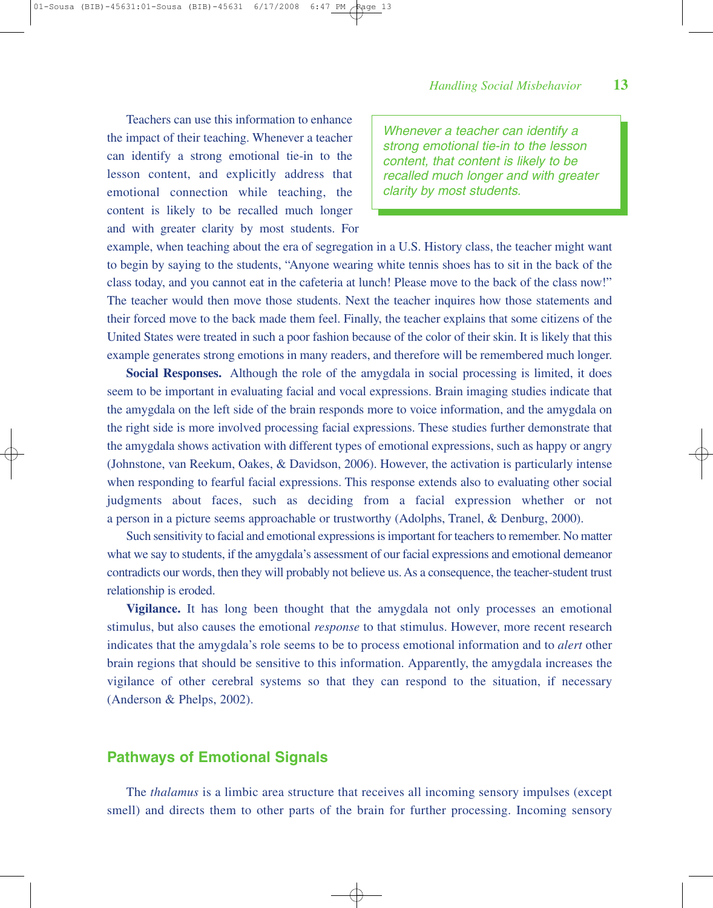Teachers can use this information to enhance the impact of their teaching. Whenever a teacher can identify a strong emotional tie-in to the lesson content, and explicitly address that emotional connection while teaching, the content is likely to be recalled much longer and with greater clarity by most students. For

01-Sousa (BIB)-45631:01-Sousa (BIB)-45631  $6/17/2008$ 

Whenever a teacher can identify a strong emotional tie-in to the lesson content, that content is likely to be recalled much longer and with greater clarity by most students.

example, when teaching about the era of segregation in a U.S. History class, the teacher might want to begin by saying to the students, "Anyone wearing white tennis shoes has to sit in the back of the class today, and you cannot eat in the cafeteria at lunch! Please move to the back of the class now!" The teacher would then move those students. Next the teacher inquires how those statements and their forced move to the back made them feel. Finally, the teacher explains that some citizens of the United States were treated in such a poor fashion because of the color of their skin. It is likely that this example generates strong emotions in many readers, and therefore will be remembered much longer.

**Social Responses.** Although the role of the amygdala in social processing is limited, it does seem to be important in evaluating facial and vocal expressions. Brain imaging studies indicate that the amygdala on the left side of the brain responds more to voice information, and the amygdala on the right side is more involved processing facial expressions. These studies further demonstrate that the amygdala shows activation with different types of emotional expressions, such as happy or angry (Johnstone, van Reekum, Oakes, & Davidson, 2006). However, the activation is particularly intense when responding to fearful facial expressions. This response extends also to evaluating other social judgments about faces, such as deciding from a facial expression whether or not a person in a picture seems approachable or trustworthy (Adolphs, Tranel, & Denburg, 2000).

Such sensitivity to facial and emotional expressions is important for teachers to remember. No matter what we say to students, if the amygdala's assessment of our facial expressions and emotional demeanor contradicts our words, then they will probably not believe us. As a consequence, the teacher-student trust relationship is eroded.

**Vigilance.** It has long been thought that the amygdala not only processes an emotional stimulus, but also causes the emotional *response* to that stimulus. However, more recent research indicates that the amygdala's role seems to be to process emotional information and to *alert* other brain regions that should be sensitive to this information. Apparently, the amygdala increases the vigilance of other cerebral systems so that they can respond to the situation, if necessary (Anderson & Phelps, 2002).

# **Pathways of Emotional Signals**

The *thalamus* is a limbic area structure that receives all incoming sensory impulses (except smell) and directs them to other parts of the brain for further processing. Incoming sensory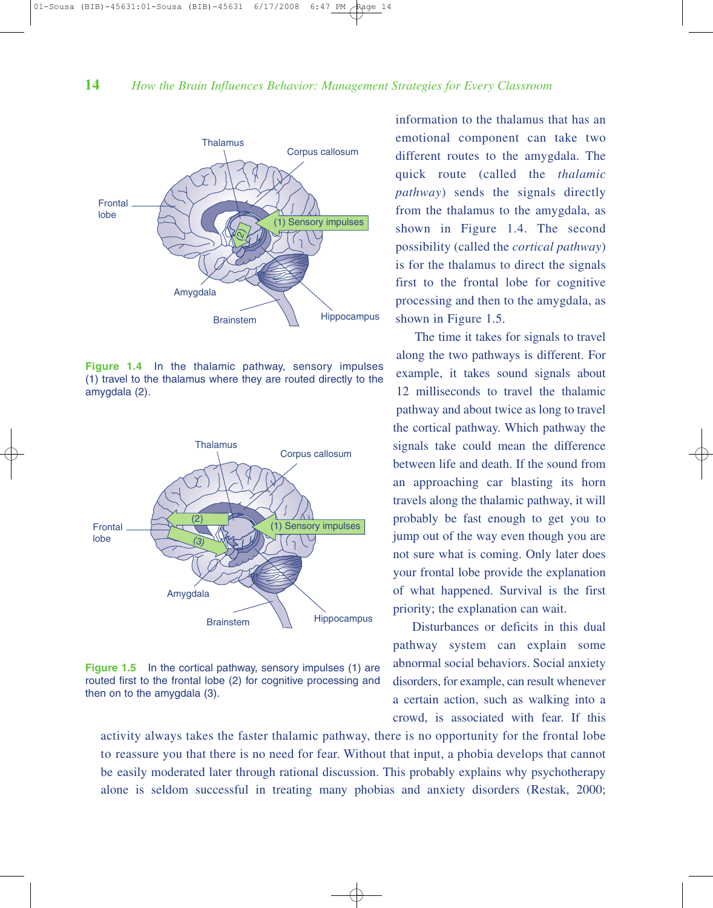

**Figure 1.4** In the thalamic pathway, sensory impulses (1) travel to the thalamus where they are routed directly to the amygdala (2).



**Figure 1.5** In the cortical pathway, sensory impulses (1) are routed first to the frontal lobe (2) for cognitive processing and then on to the amygdala (3).

information to the thalamus that has an emotional component can take two different routes to the amygdala. The quick route (called the *thalamic pathway*) sends the signals directly from the thalamus to the amygdala, as shown in Figure 1.4. The second possibility (called the *cortical pathway*) is for the thalamus to direct the signals first to the frontal lobe for cognitive processing and then to the amygdala, as shown in Figure 1.5.

The time it takes for signals to travel along the two pathways is different. For example, it takes sound signals about 12 milliseconds to travel the thalamic pathway and about twice as long to travel the cortical pathway. Which pathway the signals take could mean the difference between life and death. If the sound from an approaching car blasting its horn travels along the thalamic pathway, it will probably be fast enough to get you to jump out of the way even though you are not sure what is coming. Only later does your frontal lobe provide the explanation of what happened. Survival is the first priority; the explanation can wait.

Disturbances or deficits in this dual pathway system can explain some abnormal social behaviors. Social anxiety disorders, for example, can result whenever a certain action, such as walking into a crowd, is associated with fear. If this

activity always takes the faster thalamic pathway, there is no opportunity for the frontal lobe to reassure you that there is no need for fear. Without that input, a phobia develops that cannot be easily moderated later through rational discussion. This probably explains why psychotherapy alone is seldom successful in treating many phobias and anxiety disorders (Restak, 2000;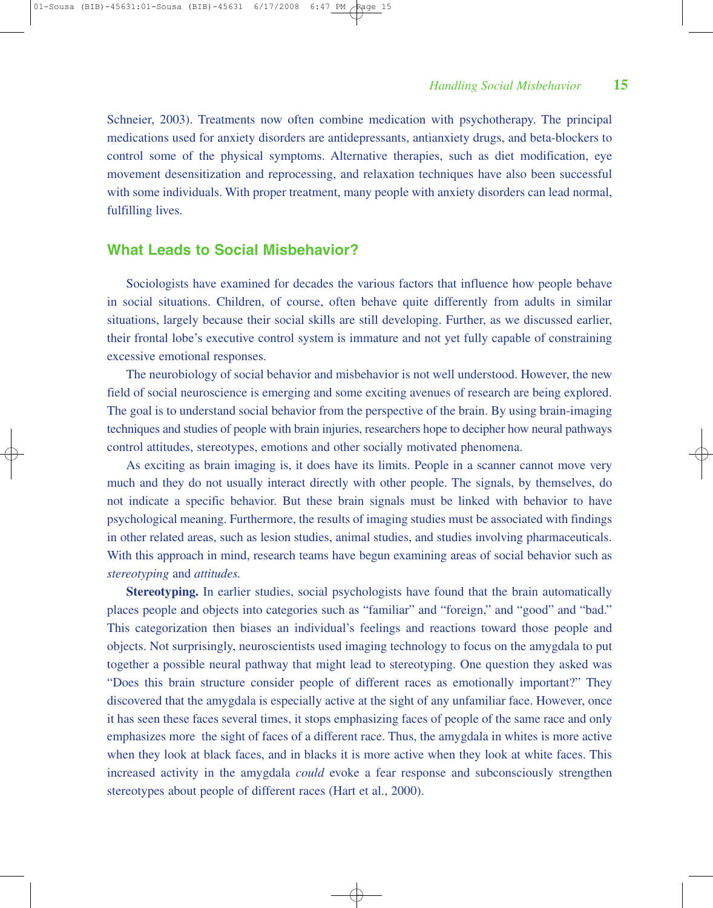Schneier, 2003). Treatments now often combine medication with psychotherapy. The principal medications used for anxiety disorders are antidepressants, antianxiety drugs, and beta-blockers to control some of the physical symptoms. Alternative therapies, such as diet modification, eye movement desensitization and reprocessing, and relaxation techniques have also been successful with some individuals. With proper treatment, many people with anxiety disorders can lead normal, fulfilling lives.

# **What Leads to Social Misbehavior?**

Sociologists have examined for decades the various factors that influence how people behave in social situations. Children, of course, often behave quite differently from adults in similar situations, largely because their social skills are still developing. Further, as we discussed earlier, their frontal lobe's executive control system is immature and not yet fully capable of constraining excessive emotional responses.

The neurobiology of social behavior and misbehavior is not well understood. However, the new field of social neuroscience is emerging and some exciting avenues of research are being explored. The goal is to understand social behavior from the perspective of the brain. By using brain-imaging techniques and studies of people with brain injuries, researchers hope to decipher how neural pathways control attitudes, stereotypes, emotions and other socially motivated phenomena.

As exciting as brain imaging is, it does have its limits. People in a scanner cannot move very much and they do not usually interact directly with other people. The signals, by themselves, do not indicate a specific behavior. But these brain signals must be linked with behavior to have psychological meaning. Furthermore, the results of imaging studies must be associated with findings in other related areas, such as lesion studies, animal studies, and studies involving pharmaceuticals. With this approach in mind, research teams have begun examining areas of social behavior such as *stereotyping* and *attitudes.*

**Stereotyping.** In earlier studies, social psychologists have found that the brain automatically places people and objects into categories such as "familiar" and "foreign," and "good" and "bad." This categorization then biases an individual's feelings and reactions toward those people and objects. Not surprisingly, neuroscientists used imaging technology to focus on the amygdala to put together a possible neural pathway that might lead to stereotyping. One question they asked was "Does this brain structure consider people of different races as emotionally important?" They discovered that the amygdala is especially active at the sight of any unfamiliar face. However, once it has seen these faces several times, it stops emphasizing faces of people of the same race and only emphasizes more the sight of faces of a different race. Thus, the amygdala in whites is more active when they look at black faces, and in blacks it is more active when they look at white faces. This increased activity in the amygdala *could* evoke a fear response and subconsciously strengthen stereotypes about people of different races (Hart et al., 2000).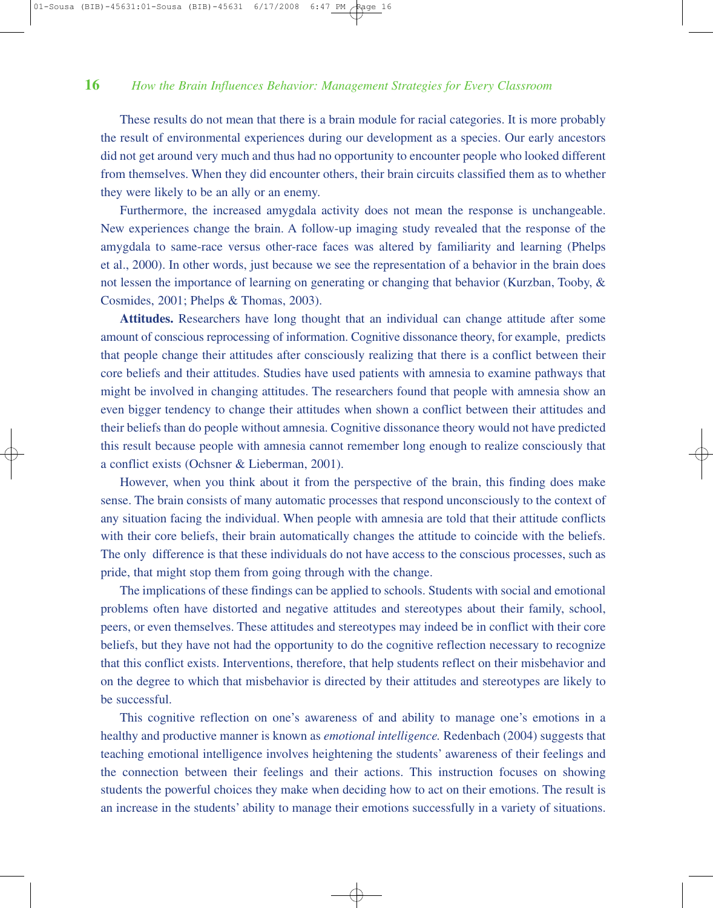These results do not mean that there is a brain module for racial categories. It is more probably the result of environmental experiences during our development as a species. Our early ancestors did not get around very much and thus had no opportunity to encounter people who looked different from themselves. When they did encounter others, their brain circuits classified them as to whether they were likely to be an ally or an enemy.

Furthermore, the increased amygdala activity does not mean the response is unchangeable. New experiences change the brain. A follow-up imaging study revealed that the response of the amygdala to same-race versus other-race faces was altered by familiarity and learning (Phelps et al., 2000). In other words, just because we see the representation of a behavior in the brain does not lessen the importance of learning on generating or changing that behavior (Kurzban, Tooby, & Cosmides, 2001; Phelps & Thomas, 2003).

**Attitudes.** Researchers have long thought that an individual can change attitude after some amount of conscious reprocessing of information. Cognitive dissonance theory, for example, predicts that people change their attitudes after consciously realizing that there is a conflict between their core beliefs and their attitudes. Studies have used patients with amnesia to examine pathways that might be involved in changing attitudes. The researchers found that people with amnesia show an even bigger tendency to change their attitudes when shown a conflict between their attitudes and their beliefs than do people without amnesia. Cognitive dissonance theory would not have predicted this result because people with amnesia cannot remember long enough to realize consciously that a conflict exists (Ochsner & Lieberman, 2001).

However, when you think about it from the perspective of the brain, this finding does make sense. The brain consists of many automatic processes that respond unconsciously to the context of any situation facing the individual. When people with amnesia are told that their attitude conflicts with their core beliefs, their brain automatically changes the attitude to coincide with the beliefs. The only difference is that these individuals do not have access to the conscious processes, such as pride, that might stop them from going through with the change.

The implications of these findings can be applied to schools. Students with social and emotional problems often have distorted and negative attitudes and stereotypes about their family, school, peers, or even themselves. These attitudes and stereotypes may indeed be in conflict with their core beliefs, but they have not had the opportunity to do the cognitive reflection necessary to recognize that this conflict exists. Interventions, therefore, that help students reflect on their misbehavior and on the degree to which that misbehavior is directed by their attitudes and stereotypes are likely to be successful.

This cognitive reflection on one's awareness of and ability to manage one's emotions in a healthy and productive manner is known as *emotional intelligence.* Redenbach (2004) suggests that teaching emotional intelligence involves heightening the students' awareness of their feelings and the connection between their feelings and their actions. This instruction focuses on showing students the powerful choices they make when deciding how to act on their emotions. The result is an increase in the students' ability to manage their emotions successfully in a variety of situations.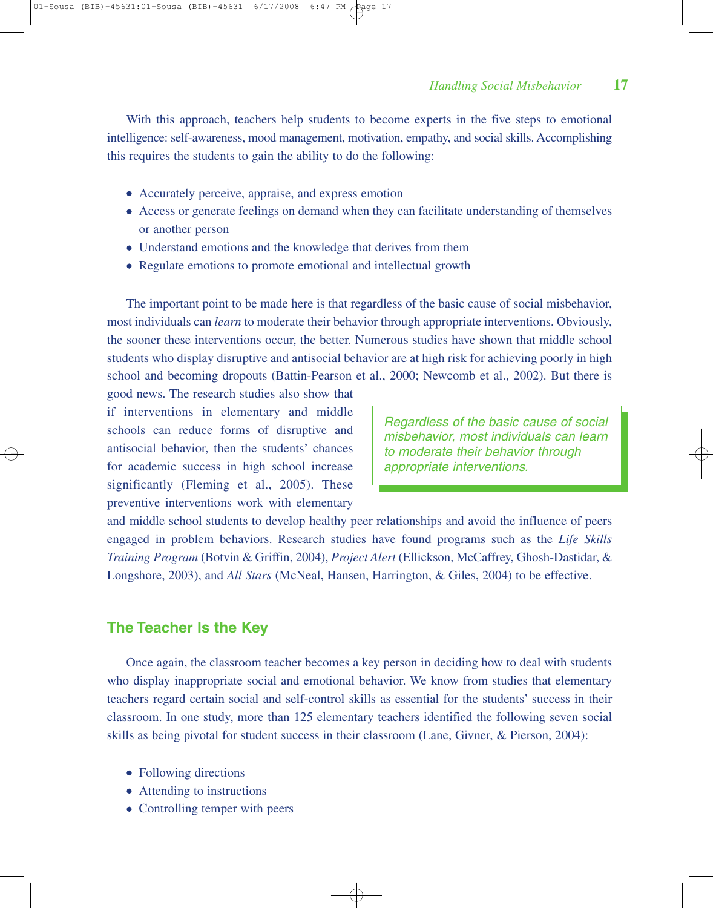# *Handling Social Misbehavior* **17**

With this approach, teachers help students to become experts in the five steps to emotional intelligence: self-awareness, mood management, motivation, empathy, and social skills. Accomplishing this requires the students to gain the ability to do the following:

- Accurately perceive, appraise, and express emotion
- Access or generate feelings on demand when they can facilitate understanding of themselves or another person
- Understand emotions and the knowledge that derives from them
- Regulate emotions to promote emotional and intellectual growth

The important point to be made here is that regardless of the basic cause of social misbehavior, most individuals can *learn* to moderate their behavior through appropriate interventions. Obviously, the sooner these interventions occur, the better. Numerous studies have shown that middle school students who display disruptive and antisocial behavior are at high risk for achieving poorly in high school and becoming dropouts (Battin-Pearson et al., 2000; Newcomb et al., 2002). But there is

good news. The research studies also show that if interventions in elementary and middle schools can reduce forms of disruptive and antisocial behavior, then the students' chances for academic success in high school increase significantly (Fleming et al., 2005). These preventive interventions work with elementary

Regardless of the basic cause of social misbehavior, most individuals can learn to moderate their behavior through appropriate interventions.

and middle school students to develop healthy peer relationships and avoid the influence of peers engaged in problem behaviors. Research studies have found programs such as the *Life Skills Training Program* (Botvin & Griffin, 2004), *Project Alert* (Ellickson, McCaffrey, Ghosh-Dastidar, & Longshore, 2003), and *All Stars* (McNeal, Hansen, Harrington, & Giles, 2004) to be effective.

## **The Teacher Is the Key**

Once again, the classroom teacher becomes a key person in deciding how to deal with students who display inappropriate social and emotional behavior. We know from studies that elementary teachers regard certain social and self-control skills as essential for the students' success in their classroom. In one study, more than 125 elementary teachers identified the following seven social skills as being pivotal for student success in their classroom (Lane, Givner, & Pierson, 2004):

- Following directions
- Attending to instructions
- Controlling temper with peers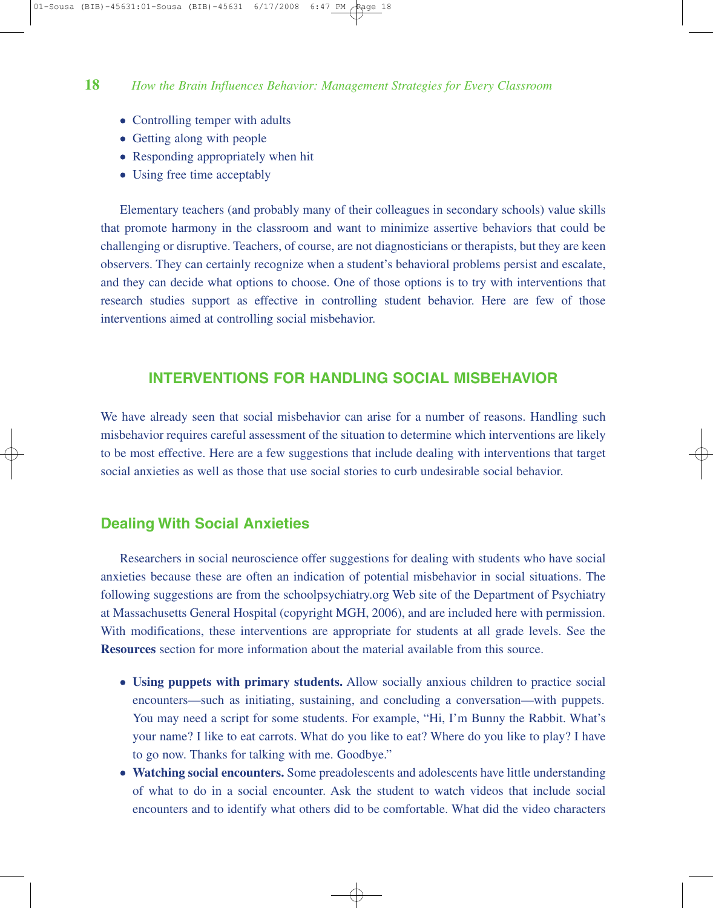- Controlling temper with adults
- Getting along with people
- Responding appropriately when hit
- Using free time acceptably

Elementary teachers (and probably many of their colleagues in secondary schools) value skills that promote harmony in the classroom and want to minimize assertive behaviors that could be challenging or disruptive. Teachers, of course, are not diagnosticians or therapists, but they are keen observers. They can certainly recognize when a student's behavioral problems persist and escalate, and they can decide what options to choose. One of those options is to try with interventions that research studies support as effective in controlling student behavior. Here are few of those interventions aimed at controlling social misbehavior.

# **INTERVENTIONS FOR HANDLING SOCIAL MISBEHAVIOR**

We have already seen that social misbehavior can arise for a number of reasons. Handling such misbehavior requires careful assessment of the situation to determine which interventions are likely to be most effective. Here are a few suggestions that include dealing with interventions that target social anxieties as well as those that use social stories to curb undesirable social behavior.

# **Dealing With Social Anxieties**

Researchers in social neuroscience offer suggestions for dealing with students who have social anxieties because these are often an indication of potential misbehavior in social situations. The following suggestions are from the schoolpsychiatry.org Web site of the Department of Psychiatry at Massachusetts General Hospital (copyright MGH, 2006), and are included here with permission. With modifications, these interventions are appropriate for students at all grade levels. See the **Resources** section for more information about the material available from this source.

- **Using puppets with primary students.** Allow socially anxious children to practice social encounters—such as initiating, sustaining, and concluding a conversation—with puppets. You may need a script for some students. For example, "Hi, I'm Bunny the Rabbit. What's your name? I like to eat carrots. What do you like to eat? Where do you like to play? I have to go now. Thanks for talking with me. Goodbye."
- **Watching social encounters.** Some preadolescents and adolescents have little understanding of what to do in a social encounter. Ask the student to watch videos that include social encounters and to identify what others did to be comfortable. What did the video characters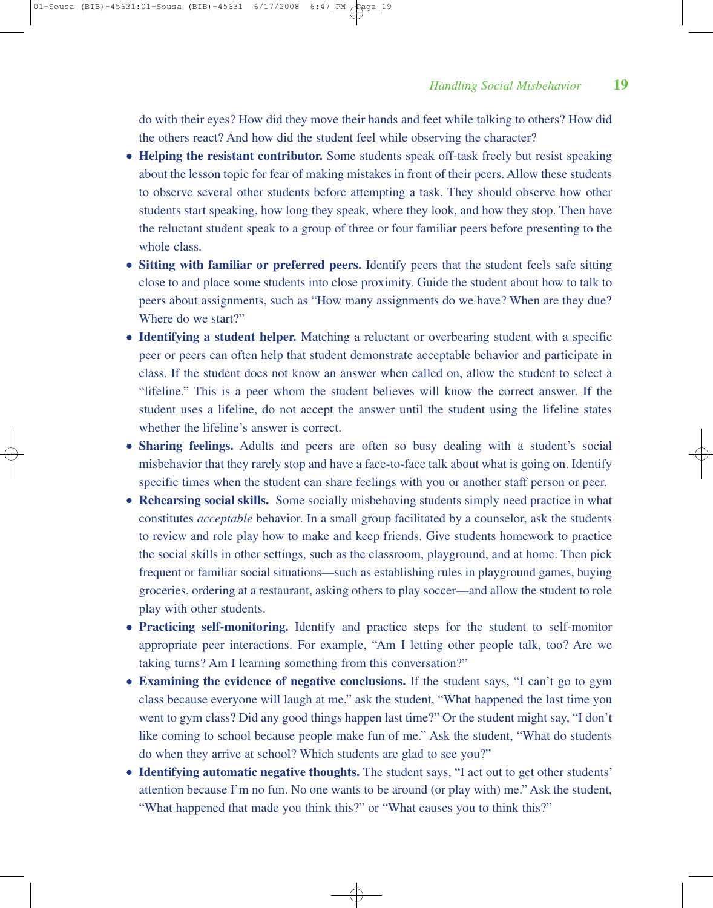do with their eyes? How did they move their hands and feet while talking to others? How did the others react? And how did the student feel while observing the character?

01-Sousa (BIB)-45631:01-Sousa (BIB)-45631:01-Sousa (BIB)-45631  $-4$ 

- **Helping the resistant contributor.** Some students speak off-task freely but resist speaking about the lesson topic for fear of making mistakes in front of their peers. Allow these students to observe several other students before attempting a task. They should observe how other students start speaking, how long they speak, where they look, and how they stop. Then have the reluctant student speak to a group of three or four familiar peers before presenting to the whole class.
- **Sitting with familiar or preferred peers.** Identify peers that the student feels safe sitting close to and place some students into close proximity. Guide the student about how to talk to peers about assignments, such as "How many assignments do we have? When are they due? Where do we start?"
- **Identifying a student helper.** Matching a reluctant or overbearing student with a specific peer or peers can often help that student demonstrate acceptable behavior and participate in class. If the student does not know an answer when called on, allow the student to select a "lifeline." This is a peer whom the student believes will know the correct answer. If the student uses a lifeline, do not accept the answer until the student using the lifeline states whether the lifeline's answer is correct.
- **Sharing feelings.** Adults and peers are often so busy dealing with a student's social misbehavior that they rarely stop and have a face-to-face talk about what is going on. Identify specific times when the student can share feelings with you or another staff person or peer.
- **Rehearsing social skills.** Some socially misbehaving students simply need practice in what constitutes *acceptable* behavior. In a small group facilitated by a counselor, ask the students to review and role play how to make and keep friends. Give students homework to practice the social skills in other settings, such as the classroom, playground, and at home. Then pick frequent or familiar social situations—such as establishing rules in playground games, buying groceries, ordering at a restaurant, asking others to play soccer—and allow the student to role play with other students.
- **Practicing self-monitoring.** Identify and practice steps for the student to self-monitor appropriate peer interactions. For example, "Am I letting other people talk, too? Are we taking turns? Am I learning something from this conversation?"
- **Examining the evidence of negative conclusions.** If the student says, "I can't go to gym class because everyone will laugh at me," ask the student, "What happened the last time you went to gym class? Did any good things happen last time?" Or the student might say, "I don't like coming to school because people make fun of me." Ask the student, "What do students do when they arrive at school? Which students are glad to see you?"
- **Identifying automatic negative thoughts.** The student says, "I act out to get other students' attention because I'm no fun. No one wants to be around (or play with) me." Ask the student, "What happened that made you think this?" or "What causes you to think this?"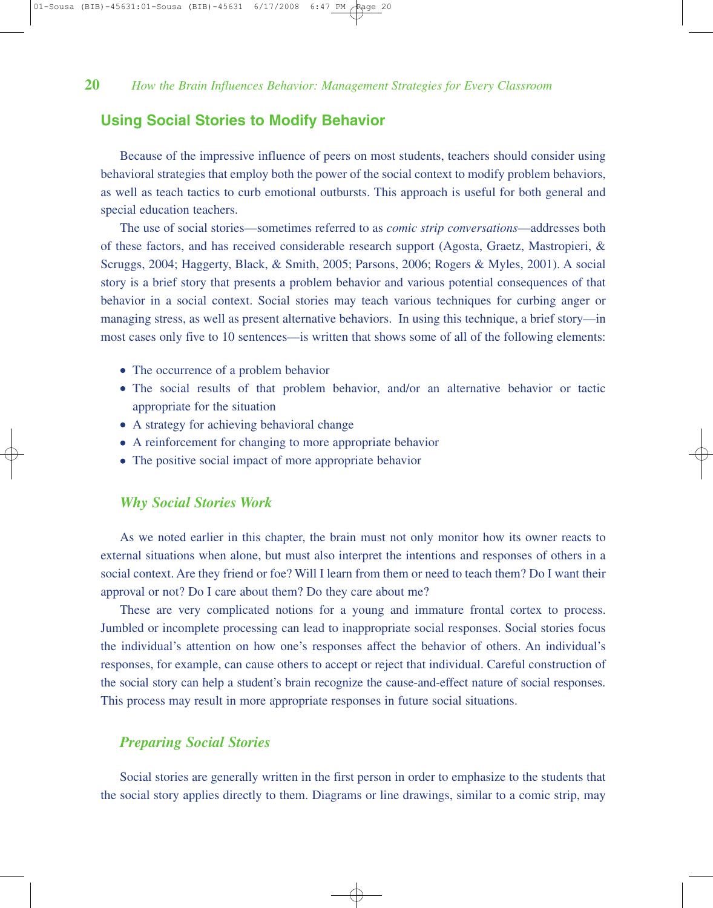# **Using Social Stories to Modify Behavior**

Because of the impressive influence of peers on most students, teachers should consider using behavioral strategies that employ both the power of the social context to modify problem behaviors, as well as teach tactics to curb emotional outbursts. This approach is useful for both general and special education teachers.

The use of social stories—sometimes referred to as *comic strip conversations*—addresses both of these factors, and has received considerable research support (Agosta, Graetz, Mastropieri, & Scruggs, 2004; Haggerty, Black, & Smith, 2005; Parsons, 2006; Rogers & Myles, 2001). A social story is a brief story that presents a problem behavior and various potential consequences of that behavior in a social context. Social stories may teach various techniques for curbing anger or managing stress, as well as present alternative behaviors. In using this technique, a brief story—in most cases only five to 10 sentences—is written that shows some of all of the following elements:

- The occurrence of a problem behavior
- The social results of that problem behavior, and/or an alternative behavior or tactic appropriate for the situation
- A strategy for achieving behavioral change
- A reinforcement for changing to more appropriate behavior
- The positive social impact of more appropriate behavior

#### *Why Social Stories Work*

As we noted earlier in this chapter, the brain must not only monitor how its owner reacts to external situations when alone, but must also interpret the intentions and responses of others in a social context. Are they friend or foe? Will I learn from them or need to teach them? Do I want their approval or not? Do I care about them? Do they care about me?

These are very complicated notions for a young and immature frontal cortex to process. Jumbled or incomplete processing can lead to inappropriate social responses. Social stories focus the individual's attention on how one's responses affect the behavior of others. An individual's responses, for example, can cause others to accept or reject that individual. Careful construction of the social story can help a student's brain recognize the cause-and-effect nature of social responses. This process may result in more appropriate responses in future social situations.

# *Preparing Social Stories*

Social stories are generally written in the first person in order to emphasize to the students that the social story applies directly to them. Diagrams or line drawings, similar to a comic strip, may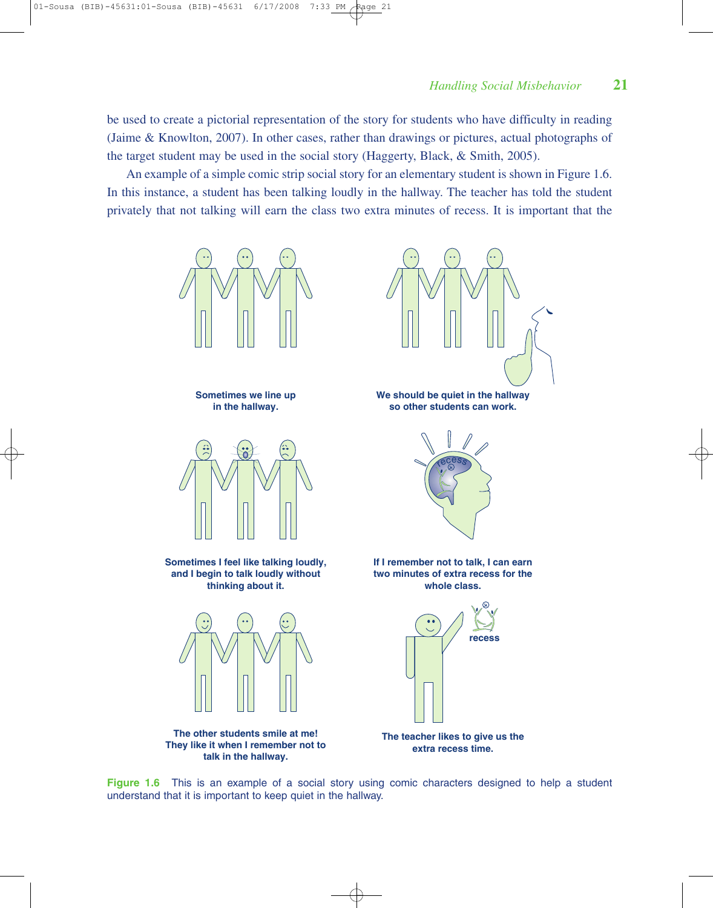#### *Handling Social Misbehavior* **21**

be used to create a pictorial representation of the story for students who have difficulty in reading (Jaime & Knowlton, 2007). In other cases, rather than drawings or pictures, actual photographs of the target student may be used in the social story (Haggerty, Black, & Smith, 2005).

An example of a simple comic strip social story for an elementary student is shown in Figure 1.6. In this instance, a student has been talking loudly in the hallway. The teacher has told the student privately that not talking will earn the class two extra minutes of recess. It is important that the



**Sometimes we line up in the hallway.**



**Sometimes I feel like talking loudly, and I begin to talk loudly without thinking about it.**



**The other students smile at me! They like it when I remember not to talk in the hallway.**



**If I remember not to talk, I can earn two minutes of extra recess for the whole class.**



**The teacher likes to give us the extra recess time.**

**Figure 1.6** This is an example of a social story using comic characters designed to help a student understand that it is important to keep quiet in the hallway.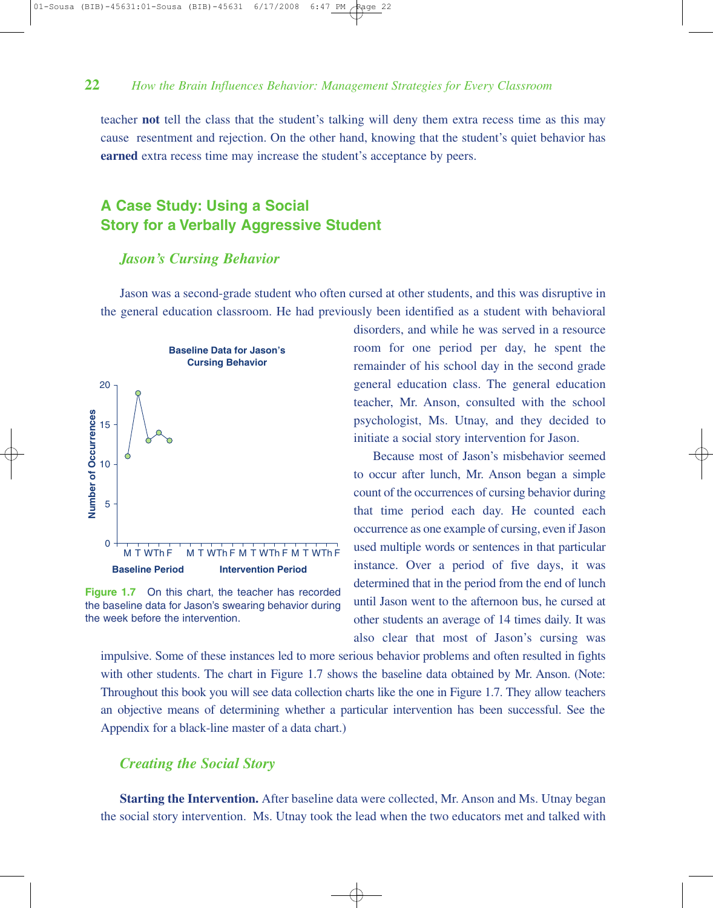teacher **not** tell the class that the student's talking will deny them extra recess time as this may cause resentment and rejection. On the other hand, knowing that the student's quiet behavior has **earned** extra recess time may increase the student's acceptance by peers.

# **A Case Study: Using a Social Story for a Verbally Aggressive Student**

#### *Jason's Cursing Behavior*

Jason was a second-grade student who often cursed at other students, and this was disruptive in the general education classroom. He had previously been identified as a student with behavioral



**Figure 1.7** On this chart, the teacher has recorded the baseline data for Jason's swearing behavior during the week before the intervention.

disorders, and while he was served in a resource room for one period per day, he spent the remainder of his school day in the second grade general education class. The general education teacher, Mr. Anson, consulted with the school psychologist, Ms. Utnay, and they decided to initiate a social story intervention for Jason.

Because most of Jason's misbehavior seemed to occur after lunch, Mr. Anson began a simple count of the occurrences of cursing behavior during that time period each day. He counted each occurrence as one example of cursing, even if Jason used multiple words or sentences in that particular instance. Over a period of five days, it was determined that in the period from the end of lunch until Jason went to the afternoon bus, he cursed at other students an average of 14 times daily. It was also clear that most of Jason's cursing was

impulsive. Some of these instances led to more serious behavior problems and often resulted in fights with other students. The chart in Figure 1.7 shows the baseline data obtained by Mr. Anson. (Note: Throughout this book you will see data collection charts like the one in Figure 1.7. They allow teachers an objective means of determining whether a particular intervention has been successful. See the Appendix for a black-line master of a data chart.)

#### *Creating the Social Story*

**Starting the Intervention.** After baseline data were collected, Mr. Anson and Ms. Utnay began the social story intervention. Ms. Utnay took the lead when the two educators met and talked with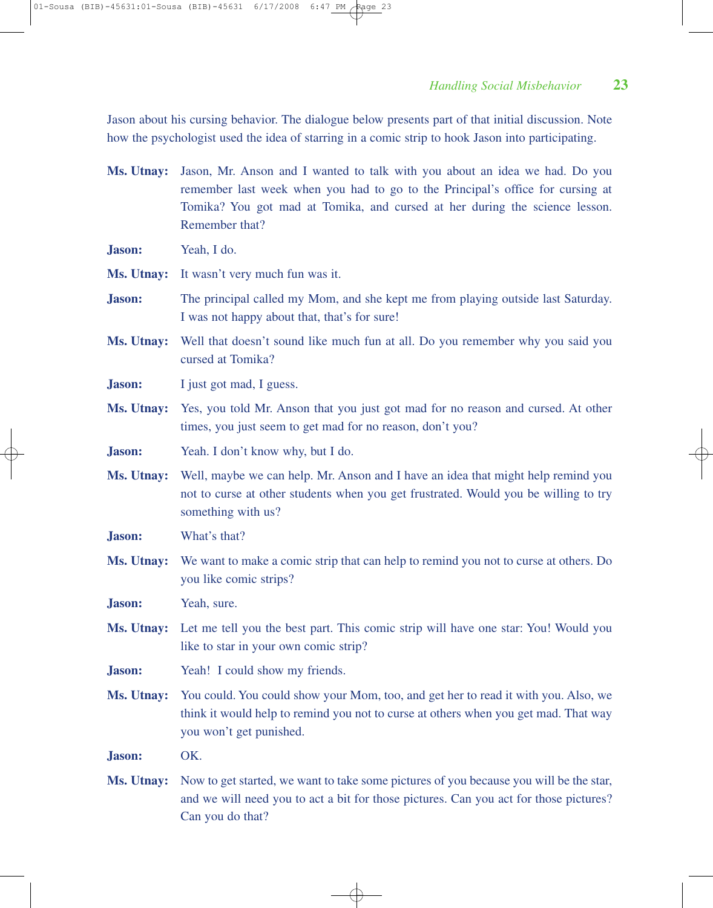Jason about his cursing behavior. The dialogue below presents part of that initial discussion. Note how the psychologist used the idea of starring in a comic strip to hook Jason into participating.

01-Sousa (BIB)-45631:01-Sousa (BIB)-45631 6/17/2008 6:47 PM Page 23

**Ms. Utnay:** Jason, Mr. Anson and I wanted to talk with you about an idea we had. Do you

|                   | remember last week when you had to go to the Principal's office for cursing at<br>Tomika? You got mad at Tomika, and cursed at her during the science lesson.<br>Remember that?                      |
|-------------------|------------------------------------------------------------------------------------------------------------------------------------------------------------------------------------------------------|
| <b>Jason:</b>     | Yeah, I do.                                                                                                                                                                                          |
| <b>Ms. Utnay:</b> | It wasn't very much fun was it.                                                                                                                                                                      |
| <b>Jason:</b>     | The principal called my Mom, and she kept me from playing outside last Saturday.<br>I was not happy about that, that's for sure!                                                                     |
| Ms. Utnay:        | Well that doesn't sound like much fun at all. Do you remember why you said you<br>cursed at Tomika?                                                                                                  |
| <b>Jason:</b>     | I just got mad, I guess.                                                                                                                                                                             |
| <b>Ms. Utnay:</b> | Yes, you told Mr. Anson that you just got mad for no reason and cursed. At other<br>times, you just seem to get mad for no reason, don't you?                                                        |
| Jason:            | Yeah. I don't know why, but I do.                                                                                                                                                                    |
| Ms. Utnay:        | Well, maybe we can help. Mr. Anson and I have an idea that might help remind you<br>not to curse at other students when you get frustrated. Would you be willing to try<br>something with us?        |
| <b>Jason:</b>     | What's that?                                                                                                                                                                                         |
| <b>Ms. Utnay:</b> | We want to make a comic strip that can help to remind you not to curse at others. Do<br>you like comic strips?                                                                                       |
| <b>Jason:</b>     | Yeah, sure.                                                                                                                                                                                          |
| <b>Ms. Utnay:</b> | Let me tell you the best part. This comic strip will have one star: You! Would you<br>like to star in your own comic strip?                                                                          |
| <b>Jason:</b>     | Yeah! I could show my friends.                                                                                                                                                                       |
| <b>Ms. Utnay:</b> | You could. You could show your Mom, too, and get her to read it with you. Also, we<br>think it would help to remind you not to curse at others when you get mad. That way<br>you won't get punished. |
| <b>Jason:</b>     | OK.                                                                                                                                                                                                  |
| <b>Ms. Utnay:</b> | Now to get started, we want to take some pictures of you because you will be the star,<br>and we will need you to act a bit for those pictures. Can you act for those pictures?<br>Can you do that?  |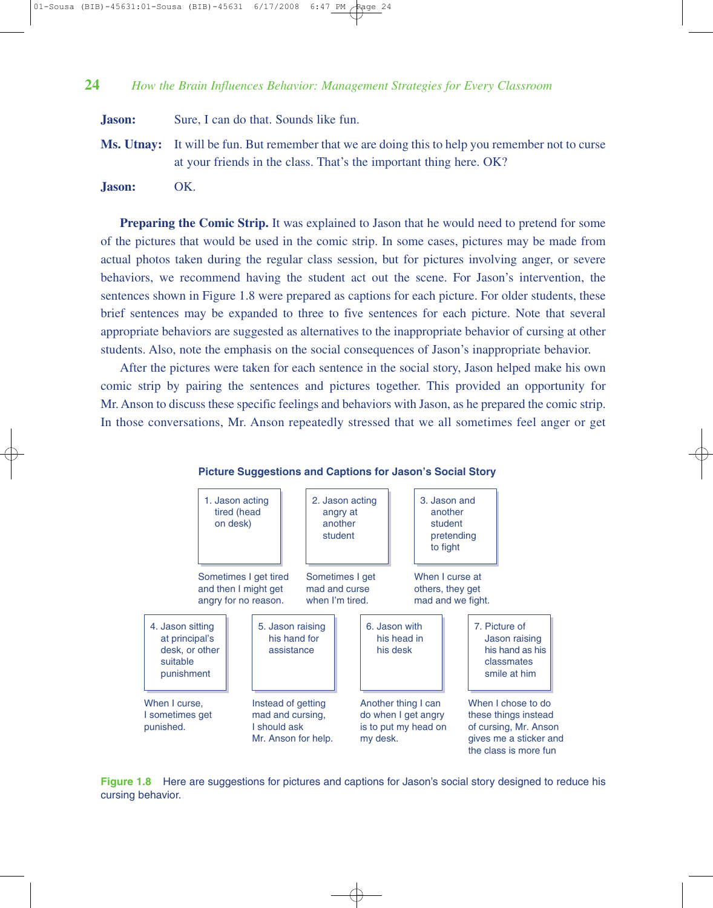**Jason:** Sure, I can do that. Sounds like fun.

- **Ms. Utnay:** It will be fun. But remember that we are doing this to help you remember not to curse at your friends in the class. That's the important thing here. OK?
- **Jason:** OK.

**Preparing the Comic Strip.** It was explained to Jason that he would need to pretend for some of the pictures that would be used in the comic strip. In some cases, pictures may be made from actual photos taken during the regular class session, but for pictures involving anger, or severe behaviors, we recommend having the student act out the scene. For Jason's intervention, the sentences shown in Figure 1.8 were prepared as captions for each picture. For older students, these brief sentences may be expanded to three to five sentences for each picture. Note that several appropriate behaviors are suggested as alternatives to the inappropriate behavior of cursing at other students. Also, note the emphasis on the social consequences of Jason's inappropriate behavior.

After the pictures were taken for each sentence in the social story, Jason helped make his own comic strip by pairing the sentences and pictures together. This provided an opportunity for Mr. Anson to discuss these specific feelings and behaviors with Jason, as he prepared the comic strip. In those conversations, Mr. Anson repeatedly stressed that we all sometimes feel anger or get



**Picture Suggestions and Captions for Jason's Social Story**

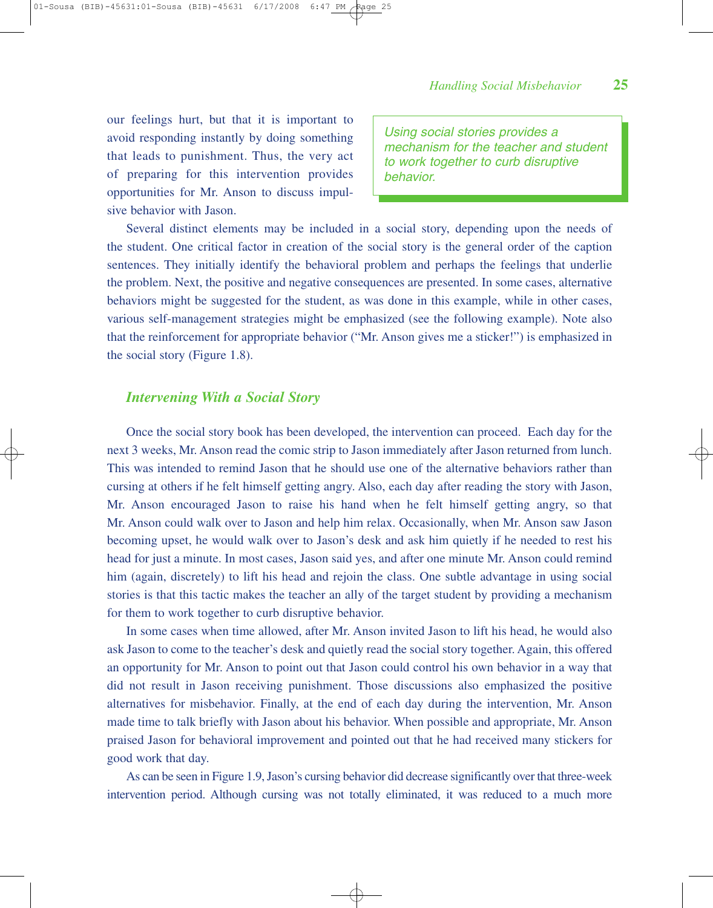our feelings hurt, but that it is important to avoid responding instantly by doing something that leads to punishment. Thus, the very act of preparing for this intervention provides opportunities for Mr. Anson to discuss impulsive behavior with Jason.

01-Sousa (BIB)-45631:01-Sousa (BIB)-45631 6/17/2008

Using social stories provides a mechanism for the teacher and student to work together to curb disruptive behavior.

Several distinct elements may be included in a social story, depending upon the needs of the student. One critical factor in creation of the social story is the general order of the caption sentences. They initially identify the behavioral problem and perhaps the feelings that underlie the problem. Next, the positive and negative consequences are presented. In some cases, alternative behaviors might be suggested for the student, as was done in this example, while in other cases, various self-management strategies might be emphasized (see the following example). Note also that the reinforcement for appropriate behavior ("Mr. Anson gives me a sticker!") is emphasized in the social story (Figure 1.8).

#### *Intervening With a Social Story*

Once the social story book has been developed, the intervention can proceed. Each day for the next 3 weeks, Mr. Anson read the comic strip to Jason immediately after Jason returned from lunch. This was intended to remind Jason that he should use one of the alternative behaviors rather than cursing at others if he felt himself getting angry. Also, each day after reading the story with Jason, Mr. Anson encouraged Jason to raise his hand when he felt himself getting angry, so that Mr. Anson could walk over to Jason and help him relax. Occasionally, when Mr. Anson saw Jason becoming upset, he would walk over to Jason's desk and ask him quietly if he needed to rest his head for just a minute. In most cases, Jason said yes, and after one minute Mr. Anson could remind him (again, discretely) to lift his head and rejoin the class. One subtle advantage in using social stories is that this tactic makes the teacher an ally of the target student by providing a mechanism for them to work together to curb disruptive behavior.

In some cases when time allowed, after Mr. Anson invited Jason to lift his head, he would also ask Jason to come to the teacher's desk and quietly read the social story together. Again, this offered an opportunity for Mr. Anson to point out that Jason could control his own behavior in a way that did not result in Jason receiving punishment. Those discussions also emphasized the positive alternatives for misbehavior. Finally, at the end of each day during the intervention, Mr. Anson made time to talk briefly with Jason about his behavior. When possible and appropriate, Mr. Anson praised Jason for behavioral improvement and pointed out that he had received many stickers for good work that day.

As can be seen in Figure 1.9, Jason's cursing behavior did decrease significantly over that three-week intervention period. Although cursing was not totally eliminated, it was reduced to a much more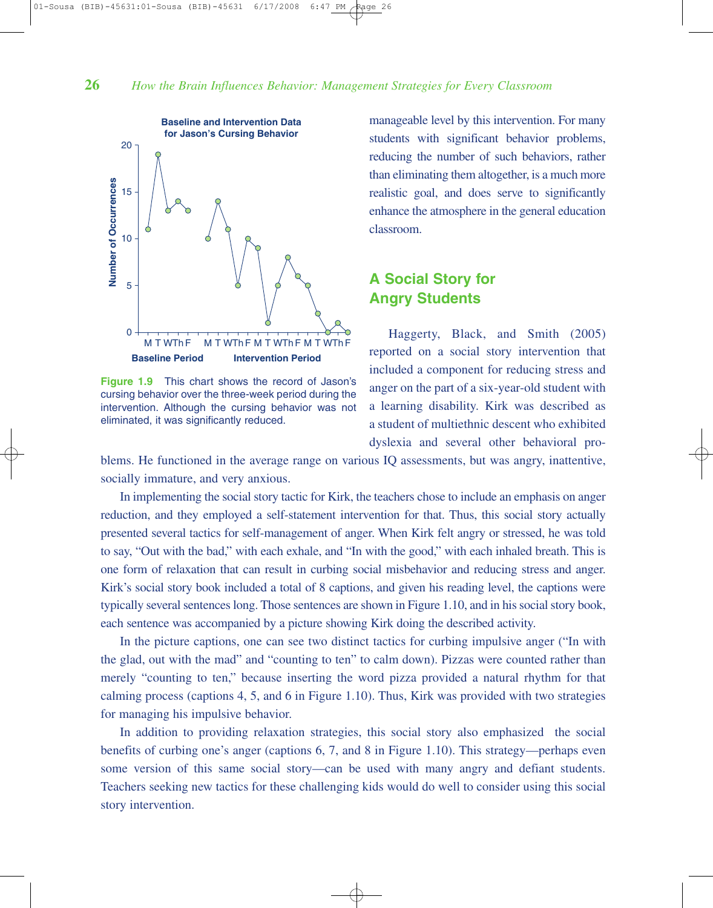

**Figure 1.9** This chart shows the record of Jason's cursing behavior over the three-week period during the intervention. Although the cursing behavior was not eliminated, it was significantly reduced.

manageable level by this intervention. For many students with significant behavior problems, reducing the number of such behaviors, rather than eliminating them altogether, is a much more realistic goal, and does serve to significantly enhance the atmosphere in the general education classroom.

# **A Social Story for Angry Students**

Haggerty, Black, and Smith (2005) reported on a social story intervention that included a component for reducing stress and anger on the part of a six-year-old student with a learning disability. Kirk was described as a student of multiethnic descent who exhibited dyslexia and several other behavioral pro-

blems. He functioned in the average range on various IQ assessments, but was angry, inattentive, socially immature, and very anxious.

In implementing the social story tactic for Kirk, the teachers chose to include an emphasis on anger reduction, and they employed a self-statement intervention for that. Thus, this social story actually presented several tactics for self-management of anger. When Kirk felt angry or stressed, he was told to say, "Out with the bad," with each exhale, and "In with the good," with each inhaled breath. This is one form of relaxation that can result in curbing social misbehavior and reducing stress and anger. Kirk's social story book included a total of 8 captions, and given his reading level, the captions were typically several sentences long. Those sentences are shown in Figure 1.10, and in his social story book, each sentence was accompanied by a picture showing Kirk doing the described activity.

In the picture captions, one can see two distinct tactics for curbing impulsive anger ("In with the glad, out with the mad" and "counting to ten" to calm down). Pizzas were counted rather than merely "counting to ten," because inserting the word pizza provided a natural rhythm for that calming process (captions 4, 5, and 6 in Figure 1.10). Thus, Kirk was provided with two strategies for managing his impulsive behavior.

In addition to providing relaxation strategies, this social story also emphasized the social benefits of curbing one's anger (captions 6, 7, and 8 in Figure 1.10). This strategy—perhaps even some version of this same social story—can be used with many angry and defiant students. Teachers seeking new tactics for these challenging kids would do well to consider using this social story intervention.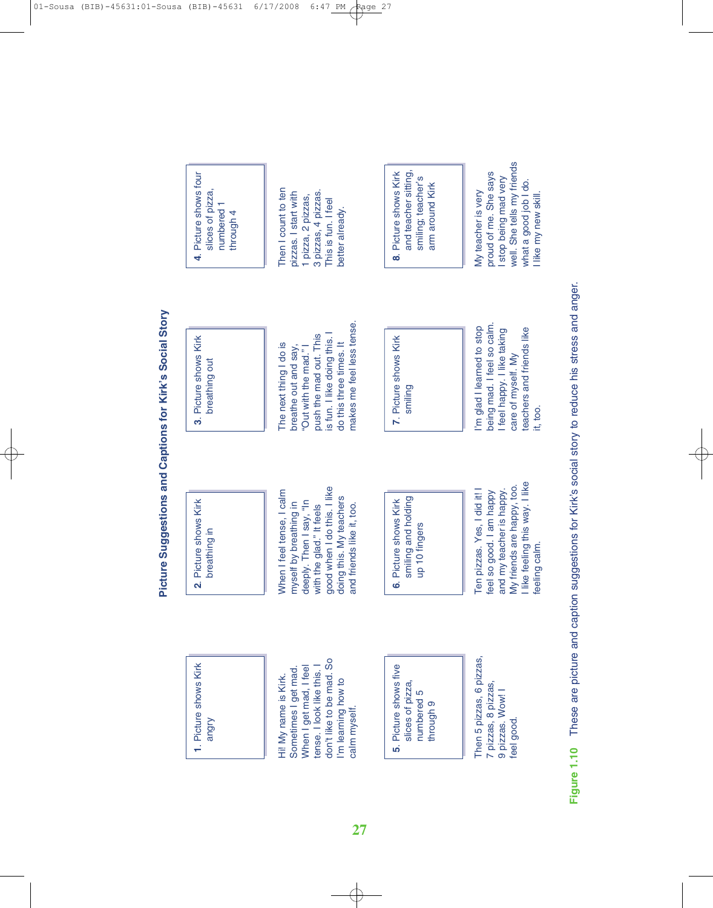

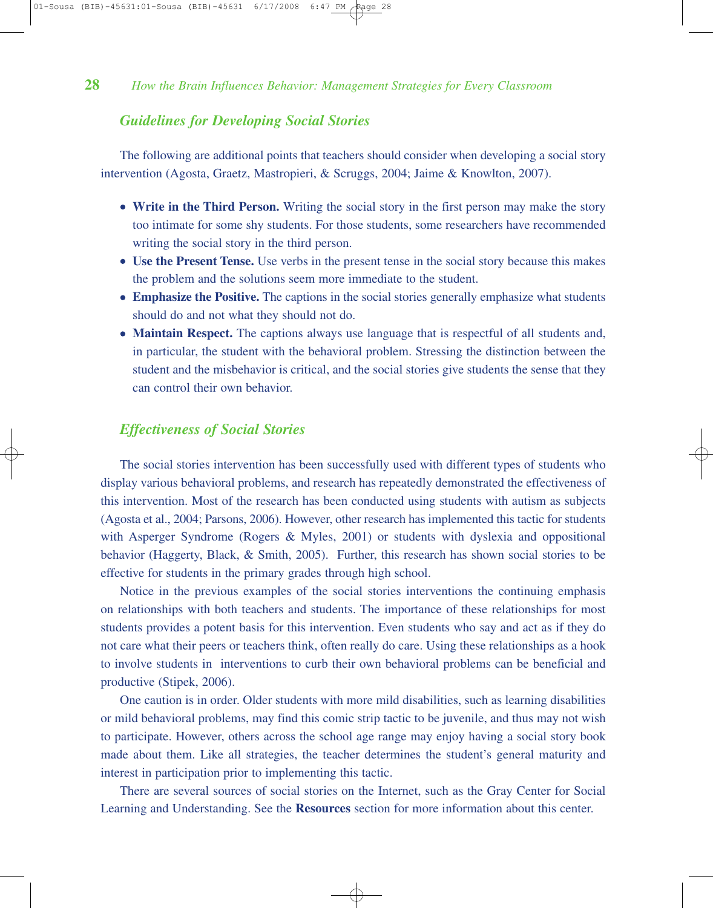# *Guidelines for Developing Social Stories*

The following are additional points that teachers should consider when developing a social story intervention (Agosta, Graetz, Mastropieri, & Scruggs, 2004; Jaime & Knowlton, 2007).

- **Write in the Third Person.** Writing the social story in the first person may make the story too intimate for some shy students. For those students, some researchers have recommended writing the social story in the third person.
- **Use the Present Tense.** Use verbs in the present tense in the social story because this makes the problem and the solutions seem more immediate to the student.
- **Emphasize the Positive.** The captions in the social stories generally emphasize what students should do and not what they should not do.
- **Maintain Respect.** The captions always use language that is respectful of all students and, in particular, the student with the behavioral problem. Stressing the distinction between the student and the misbehavior is critical, and the social stories give students the sense that they can control their own behavior.

# *Effectiveness of Social Stories*

The social stories intervention has been successfully used with different types of students who display various behavioral problems, and research has repeatedly demonstrated the effectiveness of this intervention. Most of the research has been conducted using students with autism as subjects (Agosta et al., 2004; Parsons, 2006). However, other research has implemented this tactic for students with Asperger Syndrome (Rogers & Myles, 2001) or students with dyslexia and oppositional behavior (Haggerty, Black, & Smith, 2005). Further, this research has shown social stories to be effective for students in the primary grades through high school.

Notice in the previous examples of the social stories interventions the continuing emphasis on relationships with both teachers and students. The importance of these relationships for most students provides a potent basis for this intervention. Even students who say and act as if they do not care what their peers or teachers think, often really do care. Using these relationships as a hook to involve students in interventions to curb their own behavioral problems can be beneficial and productive (Stipek, 2006).

One caution is in order. Older students with more mild disabilities, such as learning disabilities or mild behavioral problems, may find this comic strip tactic to be juvenile, and thus may not wish to participate. However, others across the school age range may enjoy having a social story book made about them. Like all strategies, the teacher determines the student's general maturity and interest in participation prior to implementing this tactic.

There are several sources of social stories on the Internet, such as the Gray Center for Social Learning and Understanding. See the **Resources** section for more information about this center.